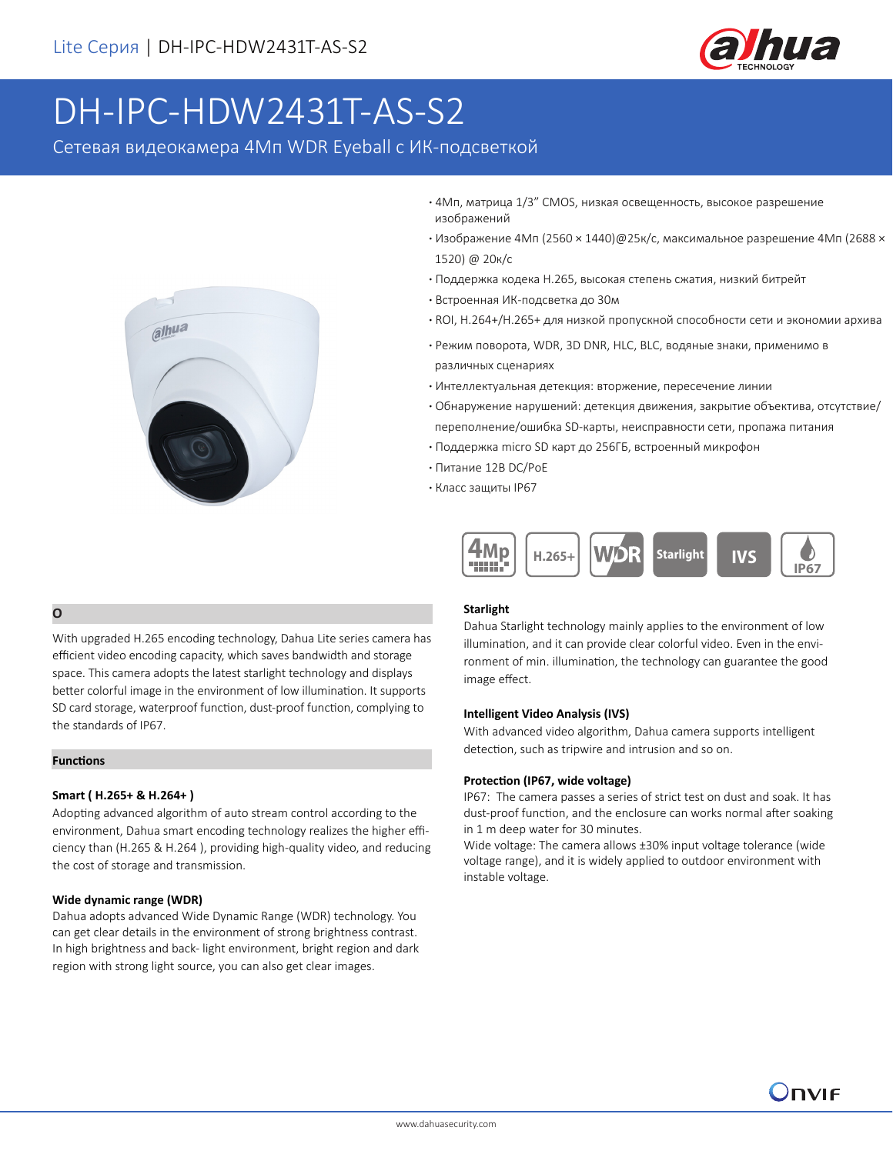

# DH-IPC-HDW2431T-AS-S2

Сетевая видеокамера 4Мп WDR Eyeball с ИК-подсветкой



- **·** 4Мп, матрица 1/3" CMOS, низкая освещенность, высокое разрешение изображений
- **·** Изображение 4Мп (2560 × 1440)@25к/с, максимальное разрешение 4Мп (2688 × 1520) @ 20к/с
- **·** Поддержка кодека H.265, высокая степень сжатия, низкий битрейт
- **·** Встроенная ИК-подсветка до 30м
- **·** ROI, H.264+/H.265+ для низкой пропускной способности сети и экономии архива
- **·** Режим поворота, WDR, 3D DNR, HLC, BLC, водяные знаки, применимо в различных сценариях
- **·** Интеллектуальная детекция: вторжение, пересечение линии
- **·** Обнаружение нарушений: детекция движения, закрытие объектива, отсутствие/ переполнение/ошибка SD-карты, неисправности сети, пропажа питания
- **·** Поддержка micro SD карт до 256ГБ, встроенный микрофон
- **·** Питание 12В DC/PoE
- **·** Класс защиты IP67



### **Описание**

Благодаря обновленной технологии кодека H.265, камеры Dahua Lite Серия позволяют значительно экономить место в архиве и снижать нагрузку пропускной способности сети. Матрица камеры, выполненная по технологии Starlight, позволяет получать более красочное изображение в условиях низкой освещенности, а класс защиты IP67 позволяет использовать устройство на улице.

### **Функции**

### **(H.265+ H.264+)**

Применяя усовершенствованный алгоритм кодирования видеоданных в соответствии со средой, технология интеллектуального кодирования Dahua обеспечивает более высокую эффективность (в сравнении с H.264 и H.265) и снижает стимоть храеня и передащие даных.

### **Широкий динамический диапазон (WDR)**

В устройствах Dahua adopts advanced Wide Dynamic Range (WDR) technology. You can get clear details in the environment of strong brightness contrast. In high brightness and back- light environment, bright region and dark region with strong light source, you can also get clear images.

## **Starlight**

Dahua Starlight technology mainly applies to the environment of low illumination, and it can provide clear colorful video. Even in the environment of min. illumination, the technology can guarantee the good image effect.

### **Intelligent Video Analysis (IVS)**

With advanced video algorithm, Dahua camera supports intelligent detection, such as tripwire and intrusion and so on.

#### **Protection (IP67, wide voltage)**

IP67: The camera passes a series of strict test on dust and soak. It has dust-proof function, and the enclosure can works normal after soaking in 1 m deep water for 30 minutes.

Wide voltage: The camera allows ±30% input voltage tolerance (wide voltage range), and it is widely applied to outdoor environment with instable voltage.

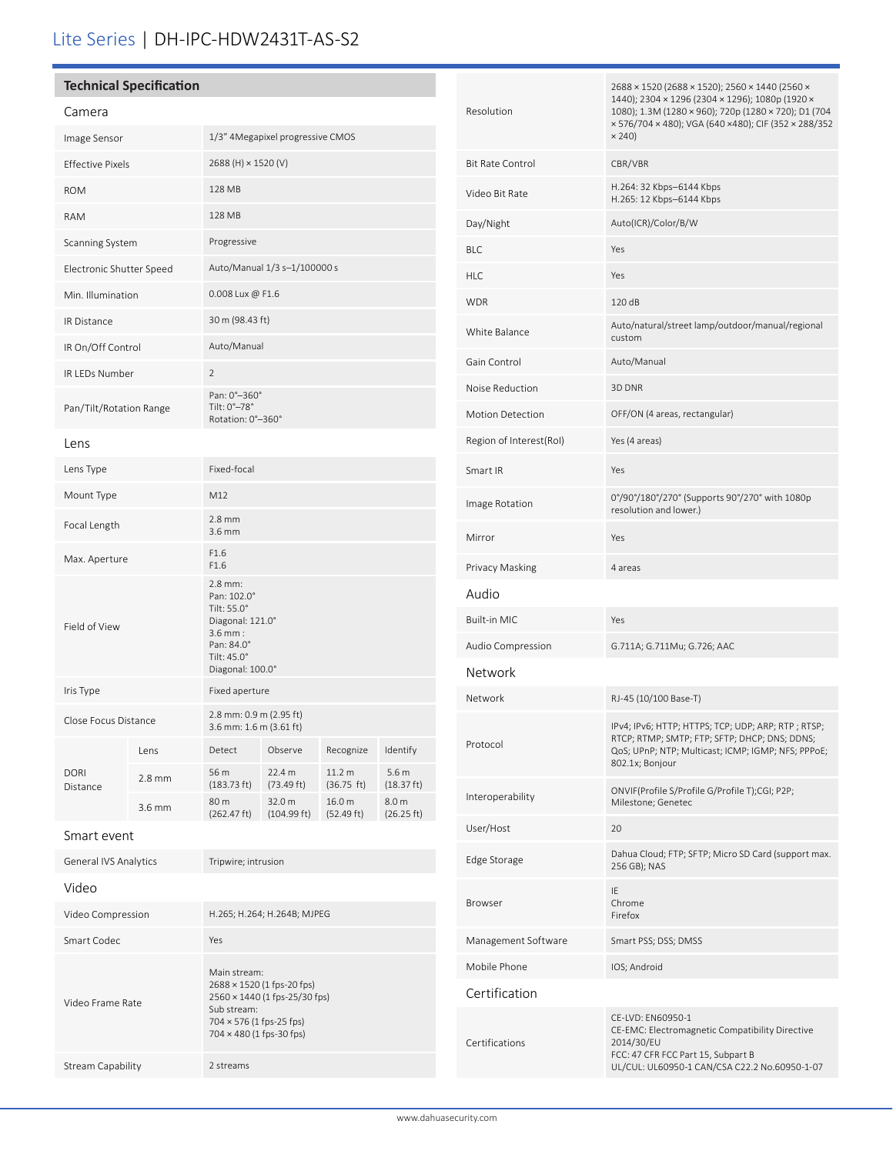# Lite Series | DH-IPC-HDW2431T-AS-S2

# **Technical Specification**

| Camera                   |                  |                                                                                                                           |                       |                      |                                |
|--------------------------|------------------|---------------------------------------------------------------------------------------------------------------------------|-----------------------|----------------------|--------------------------------|
| Image Sensor             |                  | 1/3" 4Megapixel progressive CMOS                                                                                          |                       |                      |                                |
| <b>Effective Pixels</b>  |                  | 2688 (H) × 1520 (V)                                                                                                       |                       |                      |                                |
| <b>ROM</b>               |                  | 128 MB                                                                                                                    |                       |                      |                                |
| <b>RAM</b>               |                  | 128 MB                                                                                                                    |                       |                      |                                |
| Scanning System          |                  | Progressive                                                                                                               |                       |                      |                                |
| Electronic Shutter Speed |                  | Auto/Manual 1/3 s-1/100000 s                                                                                              |                       |                      |                                |
| Min. Illumination        |                  | 0.008 Lux @ F1.6                                                                                                          |                       |                      |                                |
| <b>IR Distance</b>       |                  | 30 m (98.43 ft)                                                                                                           |                       |                      |                                |
| IR On/Off Control        |                  | Auto/Manual                                                                                                               |                       |                      |                                |
| <b>IR LEDs Number</b>    |                  | $\overline{2}$                                                                                                            |                       |                      |                                |
| Pan/Tilt/Rotation Range  |                  | Pan: 0°-360°<br>Tilt: 0°-78°<br>Rotation: 0°-360°                                                                         |                       |                      |                                |
| Lens                     |                  |                                                                                                                           |                       |                      |                                |
| Lens Type                |                  | Fixed-focal                                                                                                               |                       |                      |                                |
| Mount Type               |                  | M12                                                                                                                       |                       |                      |                                |
| Focal Length             |                  | $2.8$ mm<br>$3.6$ mm                                                                                                      |                       |                      |                                |
| Max. Aperture            |                  | F1.6<br>F1.6                                                                                                              |                       |                      |                                |
| Field of View            |                  | $2.8$ mm:<br>Pan: 102.0°<br>Tilt: 55.0°<br>Diagonal: 121.0°<br>$3.6$ mm:<br>Pan: 84.0°<br>Tilt: 45.0°<br>Diagonal: 100.0° |                       |                      |                                |
| Iris Type                |                  | Fixed aperture                                                                                                            |                       |                      |                                |
| Close Focus Distance     |                  | 2.8 mm: 0.9 m (2.95 ft)<br>3.6 mm: 1.6 m (3.61 ft)                                                                        |                       |                      |                                |
| <b>DORI</b><br>Distance  | Lens             | Detect                                                                                                                    | Observe               | Recognize            | Identify                       |
|                          | $2.8 \text{ mm}$ | 56 m<br>(183.73 ft)                                                                                                       | 22.4 m<br>(73.49 ft)  | 11.2 m<br>(36.75 ft) | 5.6 <sub>m</sub><br>(18.37 ft) |
|                          | 3.6 mm           | 80 m<br>(262.47 ft)                                                                                                       | 32.0 m<br>(104.99 ft) | 16.0 m<br>(52.49 ft) | 8.0 m<br>(26.25 ft)            |
| Smart event              |                  |                                                                                                                           |                       |                      |                                |

| Tripwire; intrusion                                                                                                                                |  |  |
|----------------------------------------------------------------------------------------------------------------------------------------------------|--|--|
|                                                                                                                                                    |  |  |
| H.265; H.264; H.264B; MJPEG                                                                                                                        |  |  |
| Yes                                                                                                                                                |  |  |
| Main stream:<br>2688 × 1520 (1 fps-20 fps)<br>2560 × 1440 (1 fps-25/30 fps)<br>Sub stream:<br>704 × 576 (1 fps-25 fps)<br>704 × 480 (1 fps-30 fps) |  |  |
| 2 streams                                                                                                                                          |  |  |
|                                                                                                                                                    |  |  |

| Resolution              | 2688 × 1520 (2688 × 1520); 2560 × 1440 (2560 ×<br>1440); 2304 × 1296 (2304 × 1296); 1080p (1920 ×<br>1080); 1.3M (1280 × 960); 720p (1280 × 720); D1 (704<br>× 576/704 × 480); VGA (640 × 480); CIF (352 × 288/352<br>$\times$ 240) |  |  |
|-------------------------|-------------------------------------------------------------------------------------------------------------------------------------------------------------------------------------------------------------------------------------|--|--|
| <b>Bit Rate Control</b> | CBR/VBR                                                                                                                                                                                                                             |  |  |
| Video Bit Rate          | H.264: 32 Kbps-6144 Kbps<br>H.265: 12 Kbps-6144 Kbps                                                                                                                                                                                |  |  |
| Day/Night               | Auto(ICR)/Color/B/W                                                                                                                                                                                                                 |  |  |
| BLC                     | Yes                                                                                                                                                                                                                                 |  |  |
| HLC                     | Yes                                                                                                                                                                                                                                 |  |  |
| WDR                     | 120 dB                                                                                                                                                                                                                              |  |  |
| White Balance           | Auto/natural/street lamp/outdoor/manual/regional<br>custom                                                                                                                                                                          |  |  |
| Gain Control            | Auto/Manual                                                                                                                                                                                                                         |  |  |
| Noise Reduction         | 3D DNR                                                                                                                                                                                                                              |  |  |
| <b>Motion Detection</b> | OFF/ON (4 areas, rectangular)                                                                                                                                                                                                       |  |  |
| Region of Interest(RoI) | Yes (4 areas)                                                                                                                                                                                                                       |  |  |
| Smart IR                | Yes                                                                                                                                                                                                                                 |  |  |
| Image Rotation          | 0°/90°/180°/270° (Supports 90°/270° with 1080p<br>resolution and lower.)                                                                                                                                                            |  |  |
| Mirror                  | Yes                                                                                                                                                                                                                                 |  |  |
| Privacy Masking         | 4 areas                                                                                                                                                                                                                             |  |  |
| Audio                   |                                                                                                                                                                                                                                     |  |  |
| Built-in MIC            | Yes                                                                                                                                                                                                                                 |  |  |
| Audio Compression       | G.711A; G.711Mu; G.726; AAC                                                                                                                                                                                                         |  |  |
| Network                 |                                                                                                                                                                                                                                     |  |  |
| Network                 | RJ-45 (10/100 Base-T)                                                                                                                                                                                                               |  |  |
| Protocol                | IPv4; IPv6; HTTP; HTTPS; TCP; UDP; ARP; RTP; RTSP;<br>RTCP; RTMP; SMTP; FTP; SFTP; DHCP; DNS; DDNS;<br>QoS; UPnP; NTP; Multicast; ICMP; IGMP; NFS; PPPoE;<br>802.1x; Bonjour                                                        |  |  |
| Interoperability        | ONVIF(Profile S/Profile G/Profile T);CGI; P2P;<br>Milestone; Genetec                                                                                                                                                                |  |  |
| User/Host               | 20                                                                                                                                                                                                                                  |  |  |
| Edge Storage            | Dahua Cloud; FTP; SFTP; Micro SD Card (support max.<br>256 GB); NAS                                                                                                                                                                 |  |  |
| Browser                 | IE<br>Chrome<br>Firefox                                                                                                                                                                                                             |  |  |
| Management Software     | Smart PSS; DSS; DMSS                                                                                                                                                                                                                |  |  |
| Mobile Phone            | IOS; Android                                                                                                                                                                                                                        |  |  |
| Certification           |                                                                                                                                                                                                                                     |  |  |
| Certifications          | CE-LVD: EN60950-1<br>CE-EMC: Electromagnetic Compatibility Directive<br>2014/30/EU<br>FCC: 47 CFR FCC Part 15, Subpart B<br>UL/CUL: UL60950-1 CAN/CSA C22.2 No.60950-1-07                                                           |  |  |